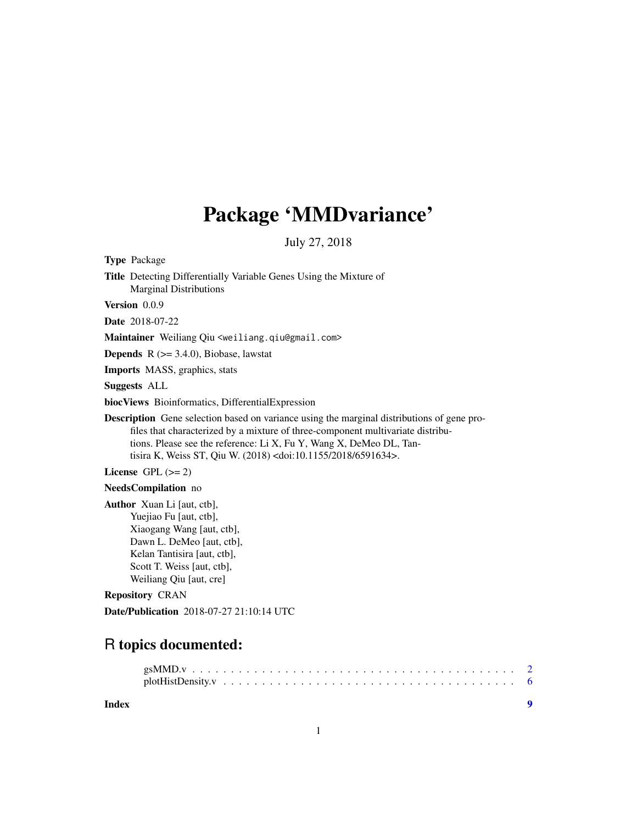## Package 'MMDvariance'

July 27, 2018

Type Package

Title Detecting Differentially Variable Genes Using the Mixture of Marginal Distributions

Version 0.0.9

Date 2018-07-22

Maintainer Weiliang Qiu <weiliang.qiu@gmail.com>

**Depends**  $R$  ( $>= 3.4.0$ ), Biobase, lawstat

Imports MASS, graphics, stats

Suggests ALL

biocViews Bioinformatics, DifferentialExpression

Description Gene selection based on variance using the marginal distributions of gene profiles that characterized by a mixture of three-component multivariate distributions. Please see the reference: Li X, Fu Y, Wang X, DeMeo DL, Tantisira K, Weiss ST, Qiu W. (2018) <doi:10.1155/2018/6591634>.

License GPL  $(>= 2)$ 

#### NeedsCompilation no

Author Xuan Li [aut, ctb], Yuejiao Fu [aut, ctb], Xiaogang Wang [aut, ctb], Dawn L. DeMeo [aut, ctb], Kelan Tantisira [aut, ctb], Scott T. Weiss [aut, ctb], Weiliang Qiu [aut, cre]

#### Repository CRAN

Date/Publication 2018-07-27 21:10:14 UTC

### R topics documented:

#### **Index** [9](#page-8-0)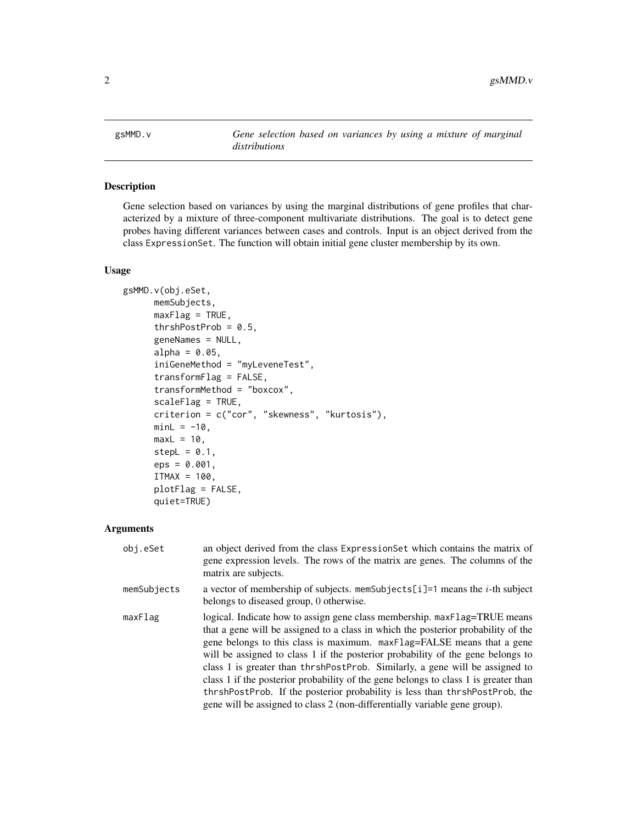<span id="page-1-0"></span>gsMMD.v *Gene selection based on variances by using a mixture of marginal distributions*

#### Description

Gene selection based on variances by using the marginal distributions of gene profiles that characterized by a mixture of three-component multivariate distributions. The goal is to detect gene probes having different variances between cases and controls. Input is an object derived from the class ExpressionSet. The function will obtain initial gene cluster membership by its own.

#### Usage

```
gsMMD.v(obj.eSet,
      memSubjects,
      maxFlag = TRUE,
      thrshPostProb = 0.5,
      geneNames = NULL,
      alpha = 0.05,
      iniGeneMethod = "myLeveneTest",
      transformFlag = FALSE,
      transformMethod = "boxcox",
      scaleFlag = TRUE,
      criterion = c("cor", "skewness", "kurtosis"),
     minL = -10,
      maxL = 10,
      stepL = 0.1,
      eps = 0.001,ITMAX = 100,plotFlag = FALSE,
      quiet=TRUE)
```
#### Arguments

| obj.eSet    | an object derived from the class ExpressionSet which contains the matrix of<br>gene expression levels. The rows of the matrix are genes. The columns of the<br>matrix are subjects.                                                                                                                                                                                                                                                                                                                                                                                                                                                                             |
|-------------|-----------------------------------------------------------------------------------------------------------------------------------------------------------------------------------------------------------------------------------------------------------------------------------------------------------------------------------------------------------------------------------------------------------------------------------------------------------------------------------------------------------------------------------------------------------------------------------------------------------------------------------------------------------------|
| memSubjects | a vector of membership of subjects. memSubjects[i]=1 means the <i>i</i> -th subject<br>belongs to diseased group, 0 otherwise.                                                                                                                                                                                                                                                                                                                                                                                                                                                                                                                                  |
| maxFlag     | logical. Indicate how to assign gene class membership. maxFlag=TRUE means<br>that a gene will be assigned to a class in which the posterior probability of the<br>gene belongs to this class is maximum. maxFlag=FALSE means that a gene<br>will be assigned to class 1 if the posterior probability of the gene belongs to<br>class 1 is greater than thrshPostProb. Similarly, a gene will be assigned to<br>class 1 if the posterior probability of the gene belongs to class 1 is greater than<br>thrshPostProb. If the posterior probability is less than thrshPostProb, the<br>gene will be assigned to class 2 (non-differentially variable gene group). |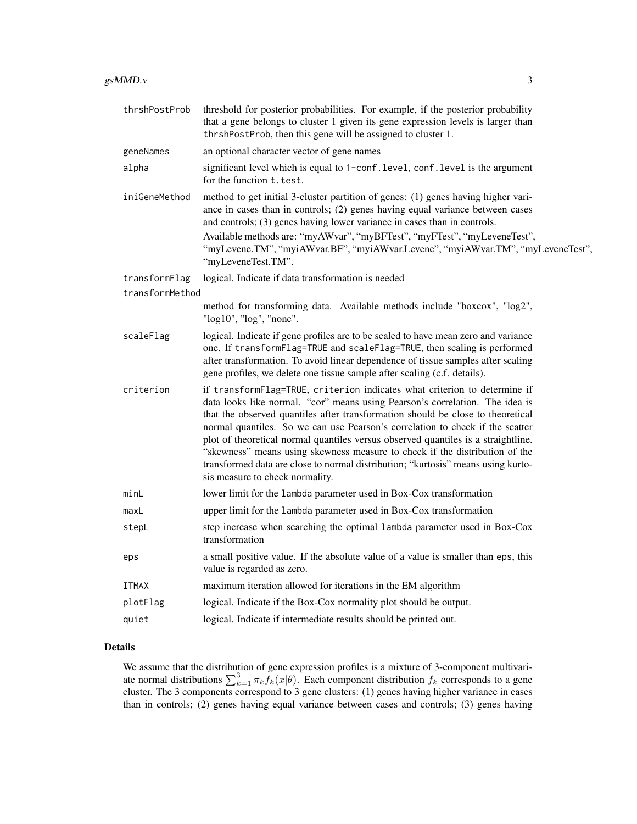| thrshPostProb   | threshold for posterior probabilities. For example, if the posterior probability<br>that a gene belongs to cluster 1 given its gene expression levels is larger than<br>thrshPostProb, then this gene will be assigned to cluster 1.                                                                                                                                                                                                                                                                                                                                                                                     |
|-----------------|--------------------------------------------------------------------------------------------------------------------------------------------------------------------------------------------------------------------------------------------------------------------------------------------------------------------------------------------------------------------------------------------------------------------------------------------------------------------------------------------------------------------------------------------------------------------------------------------------------------------------|
| geneNames       | an optional character vector of gene names                                                                                                                                                                                                                                                                                                                                                                                                                                                                                                                                                                               |
| alpha           | significant level which is equal to 1-conf. level, conf. level is the argument<br>for the function t. test.                                                                                                                                                                                                                                                                                                                                                                                                                                                                                                              |
| iniGeneMethod   | method to get initial 3-cluster partition of genes: (1) genes having higher vari-<br>ance in cases than in controls; (2) genes having equal variance between cases<br>and controls; (3) genes having lower variance in cases than in controls.                                                                                                                                                                                                                                                                                                                                                                           |
|                 | Available methods are: "myAWvar", "myBFTest", "myFTest", "myLeveneTest",<br>"myLevene.TM", "myiAWvar.BF", "myiAWvar.Levene", "myiAWvar.TM", "myLeveneTest",<br>"myLeveneTest.TM".                                                                                                                                                                                                                                                                                                                                                                                                                                        |
| transformFlag   | logical. Indicate if data transformation is needed                                                                                                                                                                                                                                                                                                                                                                                                                                                                                                                                                                       |
| transformMethod |                                                                                                                                                                                                                                                                                                                                                                                                                                                                                                                                                                                                                          |
|                 | method for transforming data. Available methods include "boxcox", "log2",<br>"log10", "log", "none".                                                                                                                                                                                                                                                                                                                                                                                                                                                                                                                     |
| scaleFlag       | logical. Indicate if gene profiles are to be scaled to have mean zero and variance<br>one. If transformFlag=TRUE and scaleFlag=TRUE, then scaling is performed<br>after transformation. To avoid linear dependence of tissue samples after scaling<br>gene profiles, we delete one tissue sample after scaling (c.f. details).                                                                                                                                                                                                                                                                                           |
| criterion       | if transformFlag=TRUE, criterion indicates what criterion to determine if<br>data looks like normal. "cor" means using Pearson's correlation. The idea is<br>that the observed quantiles after transformation should be close to theoretical<br>normal quantiles. So we can use Pearson's correlation to check if the scatter<br>plot of theoretical normal quantiles versus observed quantiles is a straightline.<br>"skewness" means using skewness measure to check if the distribution of the<br>transformed data are close to normal distribution; "kurtosis" means using kurto-<br>sis measure to check normality. |
| minL            | lower limit for the lambda parameter used in Box-Cox transformation                                                                                                                                                                                                                                                                                                                                                                                                                                                                                                                                                      |
| maxL            | upper limit for the lambda parameter used in Box-Cox transformation                                                                                                                                                                                                                                                                                                                                                                                                                                                                                                                                                      |
| stepL           | step increase when searching the optimal lambda parameter used in Box-Cox<br>transformation                                                                                                                                                                                                                                                                                                                                                                                                                                                                                                                              |
| eps             | a small positive value. If the absolute value of a value is smaller than eps, this<br>value is regarded as zero.                                                                                                                                                                                                                                                                                                                                                                                                                                                                                                         |
| <b>ITMAX</b>    | maximum iteration allowed for iterations in the EM algorithm                                                                                                                                                                                                                                                                                                                                                                                                                                                                                                                                                             |
| plotFlag        | logical. Indicate if the Box-Cox normality plot should be output.                                                                                                                                                                                                                                                                                                                                                                                                                                                                                                                                                        |
| quiet           | logical. Indicate if intermediate results should be printed out.                                                                                                                                                                                                                                                                                                                                                                                                                                                                                                                                                         |
|                 |                                                                                                                                                                                                                                                                                                                                                                                                                                                                                                                                                                                                                          |

#### Details

We assume that the distribution of gene expression profiles is a mixture of 3-component multivariate normal distributions  $\sum_{k=1}^{3} \pi_k f_k(x|\theta)$ . Each component distribution  $f_k$  corresponds to a gene cluster. The 3 components correspond to 3 gene clusters: (1) genes having higher variance in cases than in controls; (2) genes having equal variance between cases and controls; (3) genes having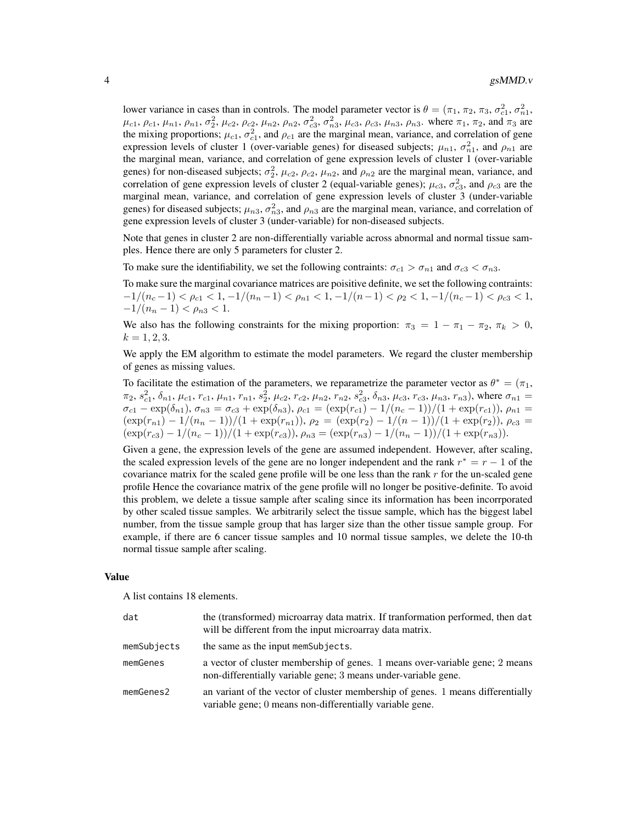#### 4 gsMMD.v

lower variance in cases than in controls. The model parameter vector is  $\theta = (\pi_1, \pi_2, \pi_3, \sigma_{c1}^2, \sigma_{n1}^2, \sigma_{n1}^2, \sigma_{n1}^2, \sigma_{n1}^2, \sigma_{n1}^2, \sigma_{n1}^2, \sigma_{n1}^2, \sigma_{n1}^2, \sigma_{n1}^2, \sigma_{n1}^2, \sigma_{n1}^2, \sigma_{n1}^2, \sigma_{n1}^2, \sigma_{n$  $\mu_{c1}, \rho_{c1}, \mu_{n1}, \rho_{n1}, \sigma_2^2, \mu_{c2}, \rho_{c2}, \mu_{n2}, \rho_{n2}, \sigma_{c3}^2, \sigma_{n3}^2, \mu_{c3}, \rho_{c3}, \mu_{n3}, \rho_{n3}$ . where  $\pi_1, \pi_2$ , and  $\pi_3$  are the mixing proportions;  $\mu_{c1}$ ,  $\sigma_{c1}^2$ , and  $\rho_{c1}$  are the marginal mean, variance, and correlation of gene expression levels of cluster 1 (over-variable genes) for diseased subjects;  $\mu_{n1}$ ,  $\sigma_{n1}^2$ , and  $\rho_{n1}$  are the marginal mean, variance, and correlation of gene expression levels of cluster 1 (over-variable genes) for non-diseased subjects;  $\sigma_2^2$ ,  $\mu_{c2}$ ,  $\rho_{c2}$ ,  $\mu_{n2}$ , and  $\rho_{n2}$  are the marginal mean, variance, and correlation of gene expression levels of cluster 2 (equal-variable genes);  $\mu_{c3}$ ,  $\sigma_{c3}^2$ , and  $\rho_{c3}$  are the marginal mean, variance, and correlation of gene expression levels of cluster 3 (under-variable genes) for diseased subjects;  $\mu_{n3}$ ,  $\sigma_{n3}^2$ , and  $\rho_{n3}$  are the marginal mean, variance, and correlation of gene expression levels of cluster 3 (under-variable) for non-diseased subjects.

Note that genes in cluster 2 are non-differentially variable across abnormal and normal tissue samples. Hence there are only 5 parameters for cluster 2.

To make sure the identifiability, we set the following contraints:  $\sigma_{c1} > \sigma_{n1}$  and  $\sigma_{c3} < \sigma_{n3}$ .

To make sure the marginal covariance matrices are poisitive definite, we set the following contraints:  $-1/(n_c-1) < \rho_{c1} < 1, -1/(n_n-1) < \rho_{n1} < 1, -1/(n-1) < \rho_2 < 1, -1/(n_c-1) < \rho_{c3} < 1,$  $-1/(n_n-1) < \rho_{n3} < 1.$ 

We also has the following constraints for the mixing proportion:  $\pi_3 = 1 - \pi_1 - \pi_2$ ,  $\pi_k > 0$ ,  $k = 1, 2, 3.$ 

We apply the EM algorithm to estimate the model parameters. We regard the cluster membership of genes as missing values.

To facilitate the estimation of the parameters, we reparametrize the parameter vector as  $\theta^* = (\pi_1, \pi_2)$  $\pi_2, s_{c1}^2, \delta_{n1}, \mu_{c1}, r_{c1}, \mu_{n1}, r_{n1}, s_2^2, \mu_{c2}, r_{c2}, \mu_{n2}, r_{n2}, s_{c3}^2, \delta_{n3}, \mu_{c3}, r_{c3}, \mu_{n3}, r_{n3})$ , where  $\sigma_{n1} =$  $\sigma_{c1} - \exp(\delta_{n1}), \sigma_{n3} = \sigma_{c3} + \exp(\delta_{n3}), \rho_{c1} = (\exp(r_{c1}) - 1/(n_c - 1))/(1 + \exp(r_{c1})), \rho_{n1} =$  $(\exp(r_{n1}) - 1/(n_n - 1))/(1 + \exp(r_{n1})), \rho_2 = (\exp(r_2) - 1/(n - 1))/(1 + \exp(r_2)), \rho_{c3} =$  $(\exp(r_{c3}) - 1/(n_c - 1))/(1 + \exp(r_{c3})), \rho_{n3} = (\exp(r_{n3}) - 1/(n_n - 1))/(1 + \exp(r_{n3})).$ 

Given a gene, the expression levels of the gene are assumed independent. However, after scaling, the scaled expression levels of the gene are no longer independent and the rank  $r^* = r - 1$  of the covariance matrix for the scaled gene profile will be one less than the rank  $r$  for the un-scaled gene profile Hence the covariance matrix of the gene profile will no longer be positive-definite. To avoid this problem, we delete a tissue sample after scaling since its information has been incorrporated by other scaled tissue samples. We arbitrarily select the tissue sample, which has the biggest label number, from the tissue sample group that has larger size than the other tissue sample group. For example, if there are 6 cancer tissue samples and 10 normal tissue samples, we delete the 10-th normal tissue sample after scaling.

#### Value

A list contains 18 elements.

| dat         | the (transformed) microarray data matrix. If transformation performed, then dat<br>will be different from the input microarray data matrix.    |
|-------------|------------------------------------------------------------------------------------------------------------------------------------------------|
| memSubjects | the same as the input memSubjects.                                                                                                             |
| memGenes    | a vector of cluster membership of genes. 1 means over-variable gene; 2 means<br>non-differentially variable gene; 3 means under-variable gene. |
| memGenes2   | an variant of the vector of cluster membership of genes. 1 means differentially<br>variable gene; 0 means non-differentially variable gene.    |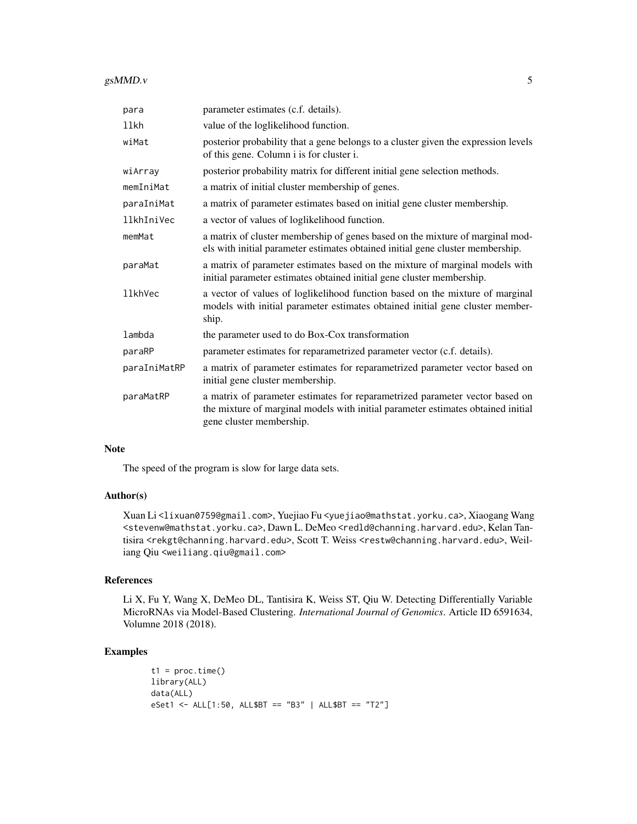#### gsMMD.v 5

| para           | parameter estimates (c.f. details).                                                                                                                                                          |
|----------------|----------------------------------------------------------------------------------------------------------------------------------------------------------------------------------------------|
| llkh           | value of the loglikelihood function.                                                                                                                                                         |
| wiMat          | posterior probability that a gene belongs to a cluster given the expression levels<br>of this gene. Column i is for cluster i.                                                               |
| wiArray        | posterior probability matrix for different initial gene selection methods.                                                                                                                   |
| memIniMat      | a matrix of initial cluster membership of genes.                                                                                                                                             |
| paraIniMat     | a matrix of parameter estimates based on initial gene cluster membership.                                                                                                                    |
| llkhIniVec     | a vector of values of loglikelihood function.                                                                                                                                                |
| memMat         | a matrix of cluster membership of genes based on the mixture of marginal mod-<br>els with initial parameter estimates obtained initial gene cluster membership.                              |
| paraMat        | a matrix of parameter estimates based on the mixture of marginal models with<br>initial parameter estimates obtained initial gene cluster membership.                                        |
| <b>llkhVec</b> | a vector of values of loglikelihood function based on the mixture of marginal<br>models with initial parameter estimates obtained initial gene cluster member-<br>ship.                      |
| lambda         | the parameter used to do Box-Cox transformation                                                                                                                                              |
| paraRP         | parameter estimates for reparametrized parameter vector (c.f. details).                                                                                                                      |
| paraIniMatRP   | a matrix of parameter estimates for reparametrized parameter vector based on<br>initial gene cluster membership.                                                                             |
| paraMatRP      | a matrix of parameter estimates for reparametrized parameter vector based on<br>the mixture of marginal models with initial parameter estimates obtained initial<br>gene cluster membership. |

#### Note

The speed of the program is slow for large data sets.

#### Author(s)

Xuan Li <lixuan0759@gmail.com>, Yuejiao Fu <yuejiao@mathstat.yorku.ca>, Xiaogang Wang <stevenw@mathstat.yorku.ca>, Dawn L. DeMeo <redld@channing.harvard.edu>, Kelan Tantisira <rekgt@channing.harvard.edu>, Scott T. Weiss <restw@channing.harvard.edu>, Weiliang Qiu <weiliang.qiu@gmail.com>

#### References

Li X, Fu Y, Wang X, DeMeo DL, Tantisira K, Weiss ST, Qiu W. Detecting Differentially Variable MicroRNAs via Model-Based Clustering. *International Journal of Genomics*. Article ID 6591634, Volumne 2018 (2018).

#### Examples

```
t1 = proc.time()library(ALL)
data(ALL)
eSet1 <- ALL[1:50, ALL$BT == "B3" | ALL$BT == "T2"]
```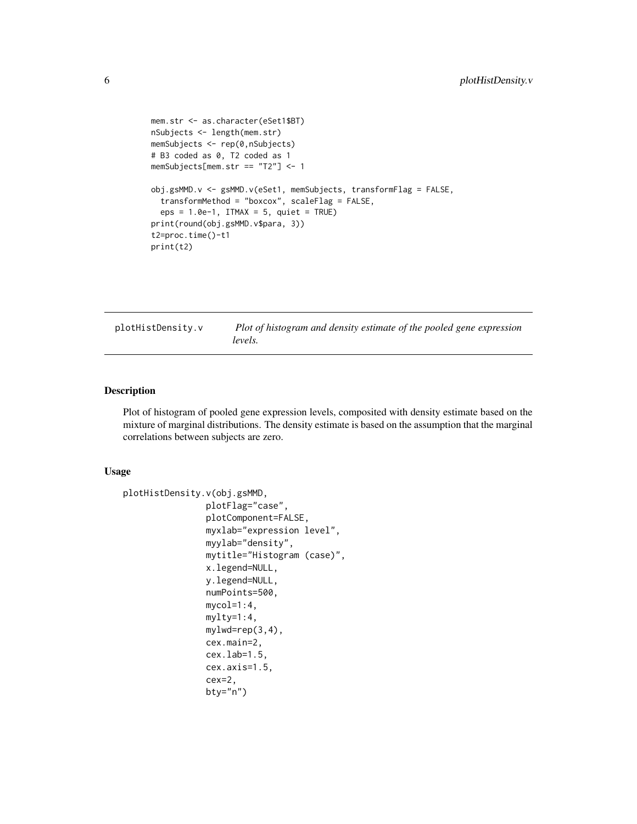```
mem.str <- as.character(eSet1$BT)
nSubjects <- length(mem.str)
memSubjects <- rep(0,nSubjects)
# B3 coded as 0, T2 coded as 1
memSubjects[mem.str == "T2"] <- 1
obj.gsMMD.v <- gsMMD.v(eSet1, memSubjects, transformFlag = FALSE,
  transformMethod = "boxcox", scaleFlag = FALSE,
  eps = 1.0e-1, ITMAX = 5, quiet = TRUE)
print(round(obj.gsMMD.v$para, 3))
t2=proc.time()-t1
print(t2)
```
plotHistDensity.v *Plot of histogram and density estimate of the pooled gene expression levels.*

#### Description

Plot of histogram of pooled gene expression levels, composited with density estimate based on the mixture of marginal distributions. The density estimate is based on the assumption that the marginal correlations between subjects are zero.

#### Usage

```
plotHistDensity.v(obj.gsMMD,
                plotFlag="case",
                plotComponent=FALSE,
                myxlab="expression level",
                myylab="density",
                mytitle="Histogram (case)",
                x.legend=NULL,
                y.legend=NULL,
                numPoints=500,
                mycol=1:4,
                mylty=1:4,
                mylwd=rep(3,4),
                cex.main=2,
                cex.lab=1.5,
                cex.axis=1.5,
                cex=2,
                bty="n")
```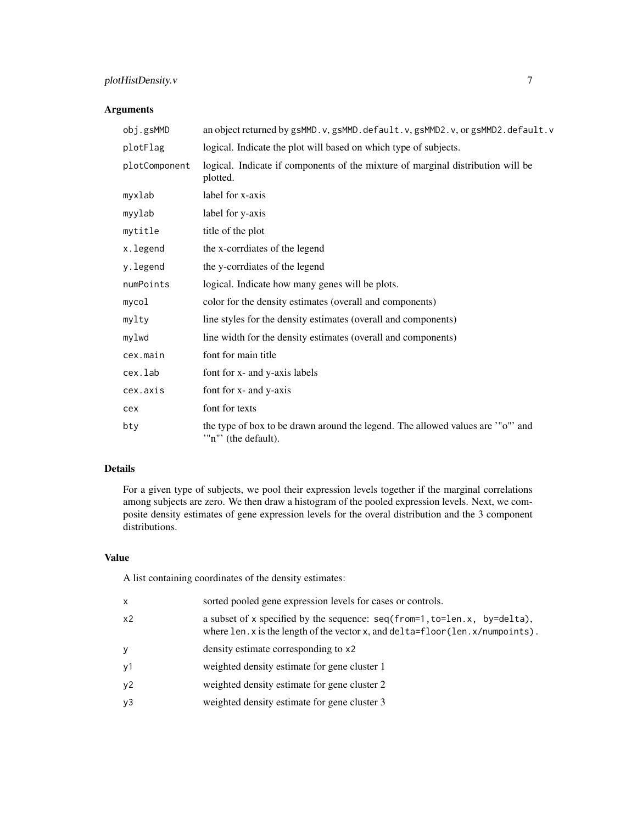#### plotHistDensity.v 7

#### Arguments

| obj.gsMMD     | an object returned by gsMMD.v, gsMMD.default.v, gsMMD2.v, or gsMMD2.default.v                        |
|---------------|------------------------------------------------------------------------------------------------------|
| plotFlag      | logical. Indicate the plot will based on which type of subjects.                                     |
| plotComponent | logical. Indicate if components of the mixture of marginal distribution will be<br>plotted.          |
| myxlab        | label for x-axis                                                                                     |
| myylab        | label for y-axis                                                                                     |
| mytitle       | title of the plot                                                                                    |
| x.legend      | the x-corrdiates of the legend                                                                       |
| y.legend      | the y-corrdiates of the legend                                                                       |
| numPoints     | logical. Indicate how many genes will be plots.                                                      |
| mycol         | color for the density estimates (overall and components)                                             |
| mylty         | line styles for the density estimates (overall and components)                                       |
| mylwd         | line width for the density estimates (overall and components)                                        |
| cex.main      | font for main title                                                                                  |
| cex.lab       | font for x- and y-axis labels                                                                        |
| cex.axis      | font for x- and y-axis                                                                               |
| cex           | font for texts                                                                                       |
| bty           | the type of box to be drawn around the legend. The allowed values are "o" and<br>"n"' (the default). |

#### Details

For a given type of subjects, we pool their expression levels together if the marginal correlations among subjects are zero. We then draw a histogram of the pooled expression levels. Next, we composite density estimates of gene expression levels for the overal distribution and the 3 component distributions.

#### Value

A list containing coordinates of the density estimates:

| x              | sorted pooled gene expression levels for cases or controls.                                                                                                   |
|----------------|---------------------------------------------------------------------------------------------------------------------------------------------------------------|
| x <sub>2</sub> | a subset of x specified by the sequence: seq(from=1, to=len.x, by=delta),<br>where len. x is the length of the vector x, and $delta=fb$ or $(len.x/number)$ . |
| У              | density estimate corresponding to x2                                                                                                                          |
| y1             | weighted density estimate for gene cluster 1                                                                                                                  |
| y2             | weighted density estimate for gene cluster 2                                                                                                                  |
| y3             | weighted density estimate for gene cluster 3                                                                                                                  |
|                |                                                                                                                                                               |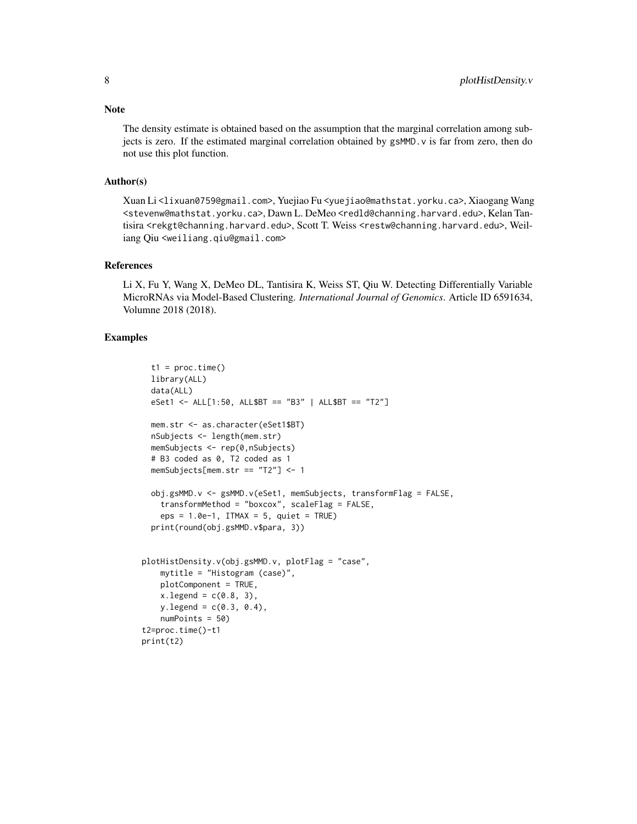Note

The density estimate is obtained based on the assumption that the marginal correlation among subjects is zero. If the estimated marginal correlation obtained by gsMMD.v is far from zero, then do not use this plot function.

#### Author(s)

Xuan Li <lixuan0759@gmail.com>, Yuejiao Fu <yuejiao@mathstat.yorku.ca>, Xiaogang Wang <stevenw@mathstat.yorku.ca>, Dawn L. DeMeo <redld@channing.harvard.edu>, Kelan Tantisira <rekgt@channing.harvard.edu>, Scott T. Weiss <restw@channing.harvard.edu>, Weiliang Qiu <weiliang.qiu@gmail.com>

#### References

Li X, Fu Y, Wang X, DeMeo DL, Tantisira K, Weiss ST, Qiu W. Detecting Differentially Variable MicroRNAs via Model-Based Clustering. *International Journal of Genomics*. Article ID 6591634, Volumne 2018 (2018).

#### Examples

```
t1 = proc.time()library(ALL)
 data(ALL)
 eSet1 <- ALL[1:50, ALL$BT == "B3" | ALL$BT == "T2"]
 mem.str <- as.character(eSet1$BT)
 nSubjects <- length(mem.str)
 memSubjects <- rep(0,nSubjects)
  # B3 coded as 0, T2 coded as 1
 memSubjects[mem.str == "T2"] <- 1
 obj.gsMMD.v <- gsMMD.v(eSet1, memSubjects, transformFlag = FALSE,
   transformMethod = "boxcox", scaleFlag = FALSE,
   eps = 1.0e-1, ITMAX = 5, quiet = TRUE)
  print(round(obj.gsMMD.v$para, 3))
plotHistDensity.v(obj.gsMMD.v, plotFlag = "case",
   mytitle = "Histogram (case)",
   plotComponent = TRUE,
   x.\text{legend} = c(0.8, 3),y.legend = c(0.3, 0.4),
   numPoints = 50)
t2=proc.time()-t1
print(t2)
```